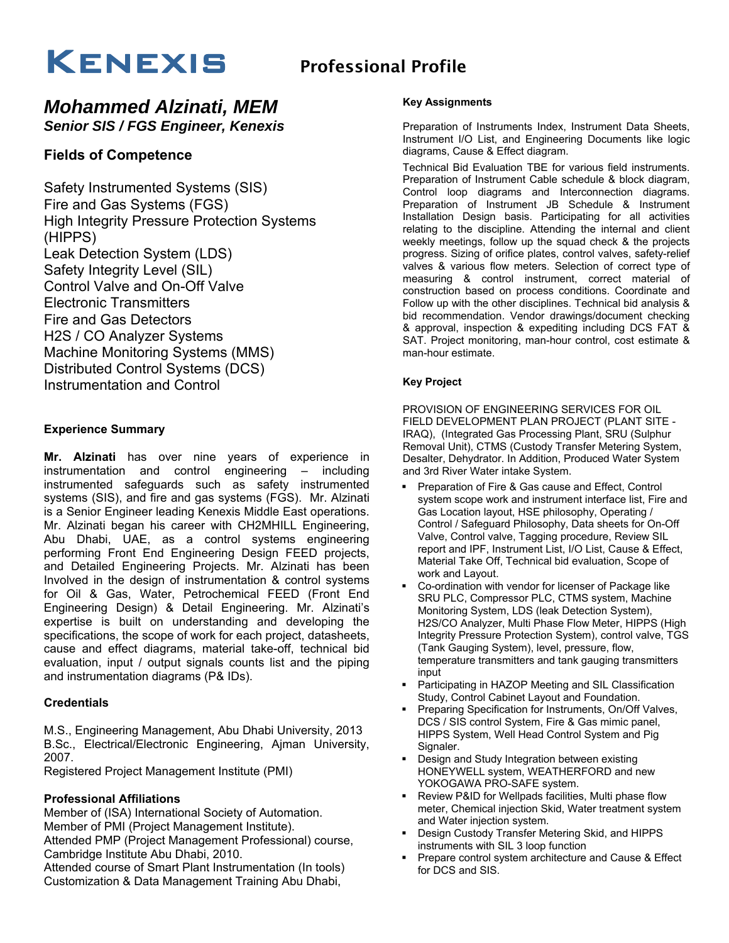# $KENEXIS$  Professional Profile

## *Mohammed Alzinati, MEM Senior SIS / FGS Engineer, Kenexis*

## **Fields of Competence**

Safety Instrumented Systems (SIS) Fire and Gas Systems (FGS) High Integrity Pressure Protection Systems (HIPPS) Leak Detection System (LDS) Safety Integrity Level (SIL) Control Valve and On-Off Valve Electronic Transmitters Fire and Gas Detectors H2S / CO Analyzer Systems Machine Monitoring Systems (MMS) Distributed Control Systems (DCS) Instrumentation and Control

## **Experience Summary**

**Mr. Alzinati** has over nine years of experience in instrumentation and control engineering – including instrumented safeguards such as safety instrumented systems (SIS), and fire and gas systems (FGS). Mr. Alzinati is a Senior Engineer leading Kenexis Middle East operations. Mr. Alzinati began his career with CH2MHILL Engineering, Abu Dhabi, UAE, as a control systems engineering performing Front End Engineering Design FEED projects, and Detailed Engineering Projects. Mr. Alzinati has been Involved in the design of instrumentation & control systems for Oil & Gas, Water, Petrochemical FEED (Front End Engineering Design) & Detail Engineering. Mr. Alzinati's expertise is built on understanding and developing the specifications, the scope of work for each project, datasheets, cause and effect diagrams, material take-off, technical bid evaluation, input / output signals counts list and the piping and instrumentation diagrams (P& IDs).

## **Credentials**

M.S., Engineering Management, Abu Dhabi University, 2013 B.Sc., Electrical/Electronic Engineering, Ajman University, 2007.

Registered Project Management Institute (PMI)

## **Professional Affiliations**

Member of (ISA) International Society of Automation. Member of PMI (Project Management Institute).

Attended PMP (Project Management Professional) course, Cambridge Institute Abu Dhabi, 2010.

Attended course of Smart Plant Instrumentation (In tools) Customization & Data Management Training Abu Dhabi,

#### **Key Assignments**

Preparation of Instruments Index, Instrument Data Sheets, Instrument I/O List, and Engineering Documents like logic diagrams, Cause & Effect diagram.

Technical Bid Evaluation TBE for various field instruments. Preparation of Instrument Cable schedule & block diagram, Control loop diagrams and Interconnection diagrams. Preparation of Instrument JB Schedule & Instrument Installation Design basis. Participating for all activities relating to the discipline. Attending the internal and client weekly meetings, follow up the squad check & the projects progress. Sizing of orifice plates, control valves, safety-relief valves & various flow meters. Selection of correct type of measuring & control instrument, correct material of construction based on process conditions. Coordinate and Follow up with the other disciplines. Technical bid analysis & bid recommendation. Vendor drawings/document checking & approval, inspection & expediting including DCS FAT & SAT. Project monitoring, man-hour control, cost estimate & man-hour estimate.

#### **Key Project**

PROVISION OF ENGINEERING SERVICES FOR OIL FIELD DEVELOPMENT PLAN PROJECT (PLANT SITE - IRAQ), (Integrated Gas Processing Plant, SRU (Sulphur Removal Unit), CTMS (Custody Transfer Metering System, Desalter, Dehydrator. In Addition, Produced Water System and 3rd River Water intake System.

- Preparation of Fire & Gas cause and Effect, Control system scope work and instrument interface list, Fire and Gas Location layout, HSE philosophy, Operating / Control / Safeguard Philosophy, Data sheets for On-Off Valve, Control valve, Tagging procedure, Review SIL report and IPF, Instrument List, I/O List, Cause & Effect, Material Take Off, Technical bid evaluation, Scope of work and Layout.
- Co-ordination with vendor for licenser of Package like SRU PLC, Compressor PLC, CTMS system, Machine Monitoring System, LDS (leak Detection System), H2S/CO Analyzer, Multi Phase Flow Meter, HIPPS (High Integrity Pressure Protection System), control valve, TGS (Tank Gauging System), level, pressure, flow, temperature transmitters and tank gauging transmitters input
- Participating in HAZOP Meeting and SIL Classification Study, Control Cabinet Layout and Foundation.
- **Preparing Specification for Instruments, On/Off Valves,** DCS / SIS control System, Fire & Gas mimic panel, HIPPS System, Well Head Control System and Pig Signaler.
- **Design and Study Integration between existing** HONEYWELL system, WEATHERFORD and new YOKOGAWA PRO-SAFE system.
- **-** Review P&ID for Wellpads facilities, Multi phase flow meter, Chemical injection Skid, Water treatment system and Water injection system.
- Design Custody Transfer Metering Skid, and HIPPS instruments with SIL 3 loop function
- **Prepare control system architecture and Cause & Effect** for DCS and SIS.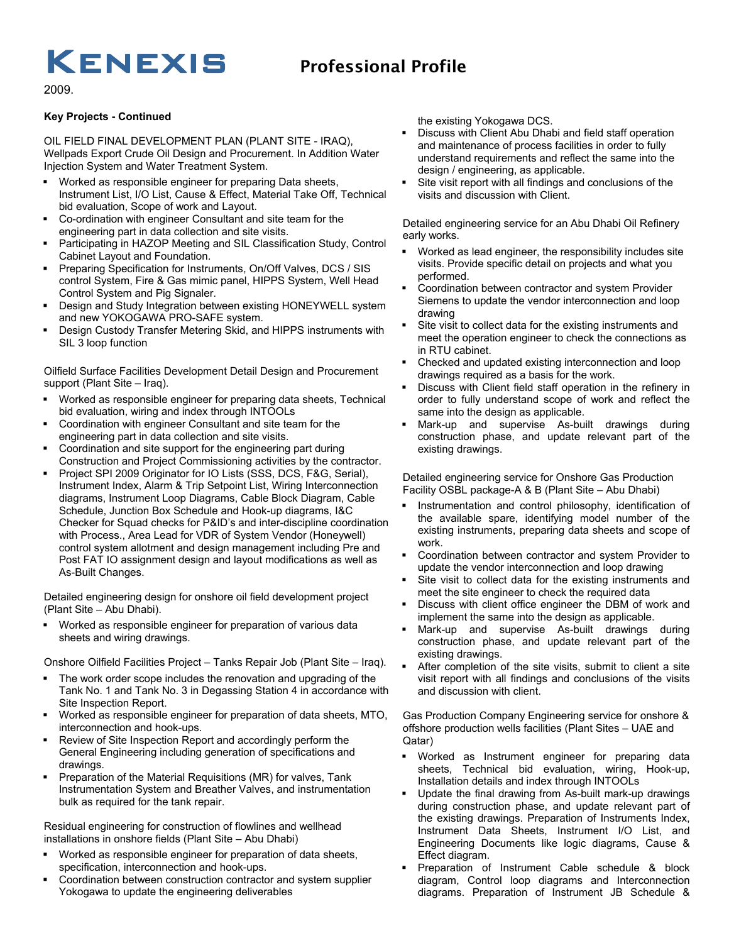# $KENEXIS$  Professional Profile

2009.

#### **Key Projects - Continued**

OIL FIELD FINAL DEVELOPMENT PLAN (PLANT SITE - IRAQ), Wellpads Export Crude Oil Design and Procurement. In Addition Water Injection System and Water Treatment System.

- Worked as responsible engineer for preparing Data sheets, Instrument List, I/O List, Cause & Effect, Material Take Off, Technical bid evaluation, Scope of work and Layout.
- Co-ordination with engineer Consultant and site team for the engineering part in data collection and site visits.
- Participating in HAZOP Meeting and SIL Classification Study, Control Cabinet Layout and Foundation.
- Preparing Specification for Instruments, On/Off Valves, DCS / SIS control System, Fire & Gas mimic panel, HIPPS System, Well Head Control System and Pig Signaler.
- Design and Study Integration between existing HONEYWELL system and new YOKOGAWA PRO-SAFE system.
- Design Custody Transfer Metering Skid, and HIPPS instruments with SIL 3 loop function

Oilfield Surface Facilities Development Detail Design and Procurement support (Plant Site – Iraq).

- Worked as responsible engineer for preparing data sheets, Technical bid evaluation, wiring and index through INTOOLs
- Coordination with engineer Consultant and site team for the engineering part in data collection and site visits.
- Coordination and site support for the engineering part during Construction and Project Commissioning activities by the contractor.
- Project SPI 2009 Originator for IO Lists (SSS, DCS, F&G, Serial), Instrument Index, Alarm & Trip Setpoint List, Wiring Interconnection diagrams, Instrument Loop Diagrams, Cable Block Diagram, Cable Schedule, Junction Box Schedule and Hook-up diagrams, I&C Checker for Squad checks for P&ID's and inter-discipline coordination with Process., Area Lead for VDR of System Vendor (Honeywell) control system allotment and design management including Pre and Post FAT IO assignment design and layout modifications as well as As-Built Changes.

Detailed engineering design for onshore oil field development project (Plant Site – Abu Dhabi).

 Worked as responsible engineer for preparation of various data sheets and wiring drawings.

Onshore Oilfield Facilities Project – Tanks Repair Job (Plant Site – Iraq).

- The work order scope includes the renovation and upgrading of the Tank No. 1 and Tank No. 3 in Degassing Station 4 in accordance with Site Inspection Report.
- Worked as responsible engineer for preparation of data sheets, MTO, interconnection and hook-ups.
- Review of Site Inspection Report and accordingly perform the General Engineering including generation of specifications and drawings.
- Preparation of the Material Requisitions (MR) for valves, Tank Instrumentation System and Breather Valves, and instrumentation bulk as required for the tank repair.

Residual engineering for construction of flowlines and wellhead installations in onshore fields (Plant Site – Abu Dhabi)

- Worked as responsible engineer for preparation of data sheets, specification, interconnection and hook-ups.
- Coordination between construction contractor and system supplier Yokogawa to update the engineering deliverables

the existing Yokogawa DCS.

- Discuss with Client Abu Dhabi and field staff operation and maintenance of process facilities in order to fully understand requirements and reflect the same into the design / engineering, as applicable.
- Site visit report with all findings and conclusions of the visits and discussion with Client.

Detailed engineering service for an Abu Dhabi Oil Refinery early works.

- Worked as lead engineer, the responsibility includes site visits. Provide specific detail on projects and what you performed.
- Coordination between contractor and system Provider Siemens to update the vendor interconnection and loop drawing
- Site visit to collect data for the existing instruments and meet the operation engineer to check the connections as in RTU cabinet.
- Checked and updated existing interconnection and loop drawings required as a basis for the work.
- Discuss with Client field staff operation in the refinery in order to fully understand scope of work and reflect the same into the design as applicable.
- Mark-up and supervise As-built drawings during construction phase, and update relevant part of the existing drawings.

Detailed engineering service for Onshore Gas Production Facility OSBL package-A & B (Plant Site – Abu Dhabi)

- Instrumentation and control philosophy, identification of the available spare, identifying model number of the existing instruments, preparing data sheets and scope of work.
- Coordination between contractor and system Provider to update the vendor interconnection and loop drawing
- Site visit to collect data for the existing instruments and meet the site engineer to check the required data
- Discuss with client office engineer the DBM of work and implement the same into the design as applicable.
- Mark-up and supervise As-built drawings during construction phase, and update relevant part of the existing drawings.
- After completion of the site visits, submit to client a site visit report with all findings and conclusions of the visits and discussion with client.

Gas Production Company Engineering service for onshore & offshore production wells facilities (Plant Sites – UAE and Qatar)

- Worked as Instrument engineer for preparing data sheets, Technical bid evaluation, wiring, Hook-up, Installation details and index through INTOOLs
- Update the final drawing from As-built mark-up drawings during construction phase, and update relevant part of the existing drawings. Preparation of Instruments Index, Instrument Data Sheets, Instrument I/O List, and Engineering Documents like logic diagrams, Cause & Effect diagram.
- Preparation of Instrument Cable schedule & block diagram, Control loop diagrams and Interconnection diagrams. Preparation of Instrument JB Schedule &